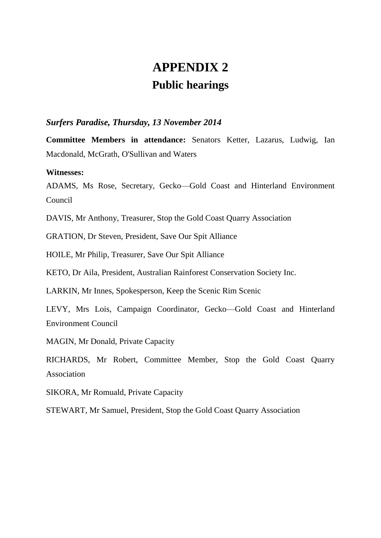# **APPENDIX 2 Public hearings**

# *Surfers Paradise, Thursday, 13 November 2014*

**Committee Members in attendance:** Senators Ketter, Lazarus, Ludwig, Ian Macdonald, McGrath, O'Sullivan and Waters

#### **Witnesses:**

ADAMS, Ms Rose, Secretary, Gecko—Gold Coast and Hinterland Environment Council

DAVIS, Mr Anthony, Treasurer, Stop the Gold Coast Quarry Association

GRATION, Dr Steven, President, Save Our Spit Alliance

HOILE, Mr Philip, Treasurer, Save Our Spit Alliance

KETO, Dr Aila, President, Australian Rainforest Conservation Society Inc.

LARKIN, Mr Innes, Spokesperson, Keep the Scenic Rim Scenic

LEVY, Mrs Lois, Campaign Coordinator, Gecko—Gold Coast and Hinterland Environment Council

MAGIN, Mr Donald, Private Capacity

RICHARDS, Mr Robert, Committee Member, Stop the Gold Coast Quarry Association

SIKORA, Mr Romuald, Private Capacity

STEWART, Mr Samuel, President, Stop the Gold Coast Quarry Association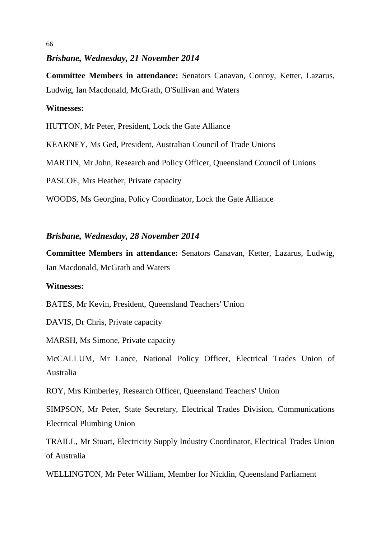# *Brisbane, Wednesday, 21 November 2014*

**Committee Members in attendance:** Senators Canavan, Conroy, Ketter, Lazarus, Ludwig, Ian Macdonald, McGrath, O'Sullivan and Waters

# **Witnesses:**

HUTTON, Mr Peter, President, Lock the Gate Alliance

KEARNEY, Ms Ged, President, Australian Council of Trade Unions

MARTIN, Mr John, Research and Policy Officer, Queensland Council of Unions

PASCOE, Mrs Heather, Private capacity

WOODS, Ms Georgina, Policy Coordinator, Lock the Gate Alliance

# *Brisbane, Wednesday, 28 November 2014*

**Committee Members in attendance:** Senators Canavan, Ketter, Lazarus, Ludwig, Ian Macdonald, McGrath and Waters

#### **Witnesses:**

BATES, Mr Kevin, President, Queensland Teachers' Union

DAVIS, Dr Chris, Private capacity

MARSH, Ms Simone, Private capacity

McCALLUM, Mr Lance, National Policy Officer, Electrical Trades Union of Australia

ROY, Mrs Kimberley, Research Officer, Queensland Teachers' Union

SIMPSON, Mr Peter, State Secretary, Electrical Trades Division, Communications Electrical Plumbing Union

TRAILL, Mr Stuart, Electricity Supply Industry Coordinator, Electrical Trades Union of Australia

WELLINGTON, Mr Peter William, Member for Nicklin, Queensland Parliament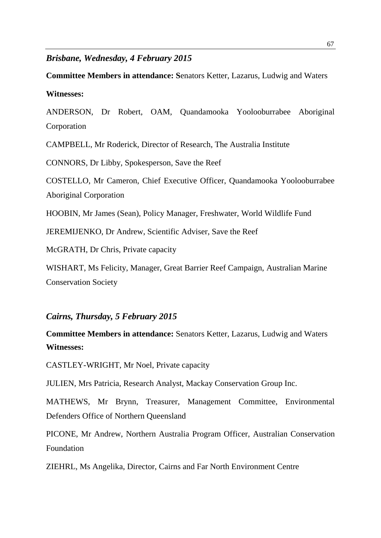# *Brisbane, Wednesday, 4 February 2015*

**Committee Members in attendance: S**enators Ketter, Lazarus, Ludwig and Waters **Witnesses:**

ANDERSON, Dr Robert, OAM, Quandamooka Yoolooburrabee Aboriginal Corporation

CAMPBELL, Mr Roderick, Director of Research, The Australia Institute

CONNORS, Dr Libby, Spokesperson, Save the Reef

COSTELLO, Mr Cameron, Chief Executive Officer, Quandamooka Yoolooburrabee Aboriginal Corporation

HOOBIN, Mr James (Sean), Policy Manager, Freshwater, World Wildlife Fund

JEREMIJENKO, Dr Andrew, Scientific Adviser, Save the Reef

McGRATH, Dr Chris, Private capacity

WISHART, Ms Felicity, Manager, Great Barrier Reef Campaign, Australian Marine Conservation Society

*Cairns, Thursday, 5 February 2015*

**Committee Members in attendance:** Senators Ketter, Lazarus, Ludwig and Waters **Witnesses:**

CASTLEY-WRIGHT, Mr Noel, Private capacity

JULIEN, Mrs Patricia, Research Analyst, Mackay Conservation Group Inc.

MATHEWS, Mr Brynn, Treasurer, Management Committee, Environmental Defenders Office of Northern Queensland

PICONE, Mr Andrew, Northern Australia Program Officer, Australian Conservation Foundation

ZIEHRL, Ms Angelika, Director, Cairns and Far North Environment Centre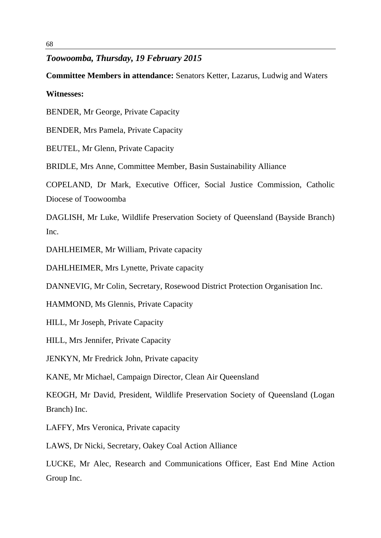# *Toowoomba, Thursday, 19 February 2015*

# **Committee Members in attendance:** Senators Ketter, Lazarus, Ludwig and Waters

# **Witnesses:**

BENDER, Mr George, Private Capacity

BENDER, Mrs Pamela, Private Capacity

BEUTEL, Mr Glenn, Private Capacity

BRIDLE, Mrs Anne, Committee Member, Basin Sustainability Alliance

COPELAND, Dr Mark, Executive Officer, Social Justice Commission, Catholic Diocese of Toowoomba

DAGLISH, Mr Luke, Wildlife Preservation Society of Queensland (Bayside Branch) Inc.

DAHLHEIMER, Mr William, Private capacity

DAHLHEIMER, Mrs Lynette, Private capacity

DANNEVIG, Mr Colin, Secretary, Rosewood District Protection Organisation Inc.

HAMMOND, Ms Glennis, Private Capacity

HILL, Mr Joseph, Private Capacity

HILL, Mrs Jennifer, Private Capacity

JENKYN, Mr Fredrick John, Private capacity

KANE, Mr Michael, Campaign Director, Clean Air Queensland

KEOGH, Mr David, President, Wildlife Preservation Society of Queensland (Logan Branch) Inc.

LAFFY, Mrs Veronica, Private capacity

LAWS, Dr Nicki, Secretary, Oakey Coal Action Alliance

LUCKE, Mr Alec, Research and Communications Officer, East End Mine Action Group Inc.